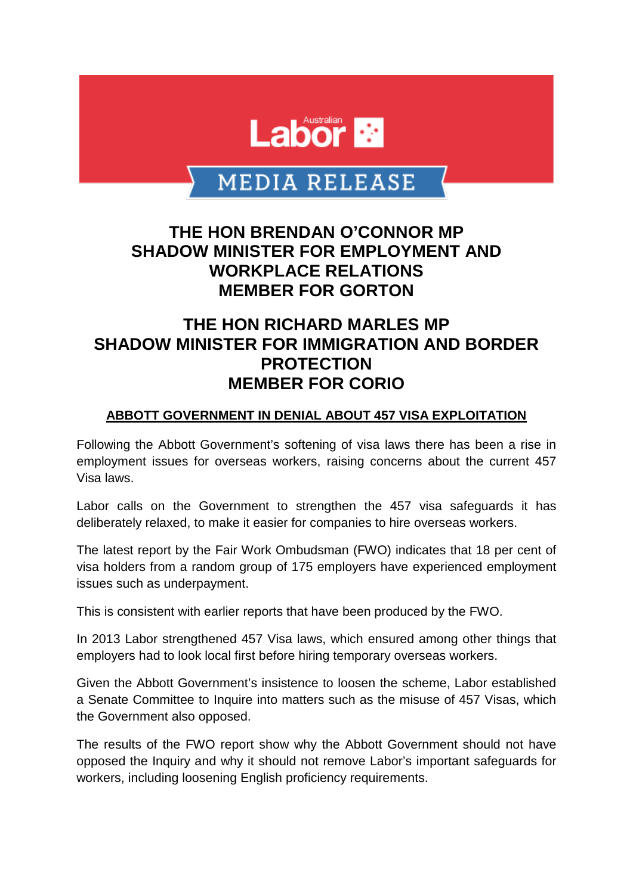

# MEDIA RELEASE

## **THE HON BRENDAN O'CONNOR MP SHADOW MINISTER FOR EMPLOYMENT AND WORKPLACE RELATIONS MEMBER FOR GORTON**

## **THE HON RICHARD MARLES MP SHADOW MINISTER FOR IMMIGRATION AND BORDER PROTECTION MEMBER FOR CORIO**

#### **ABBOTT GOVERNMENT IN DENIAL ABOUT 457 VISA EXPLOITATION**

Following the Abbott Government's softening of visa laws there has been a rise in employment issues for overseas workers, raising concerns about the current 457 Visa laws.

Labor calls on the Government to strengthen the 457 visa safeguards it has deliberately relaxed, to make it easier for companies to hire overseas workers.

The latest report by the Fair Work Ombudsman (FWO) indicates that 18 per cent of visa holders from a random group of 175 employers have experienced employment issues such as underpayment.

This is consistent with earlier reports that have been produced by the FWO.

In 2013 Labor strengthened 457 Visa laws, which ensured among other things that employers had to look local first before hiring temporary overseas workers.

Given the Abbott Government's insistence to loosen the scheme, Labor established a Senate Committee to Inquire into matters such as the misuse of 457 Visas, which the Government also opposed.

The results of the FWO report show why the Abbott Government should not have opposed the Inquiry and why it should not remove Labor's important safeguards for workers, including loosening English proficiency requirements.